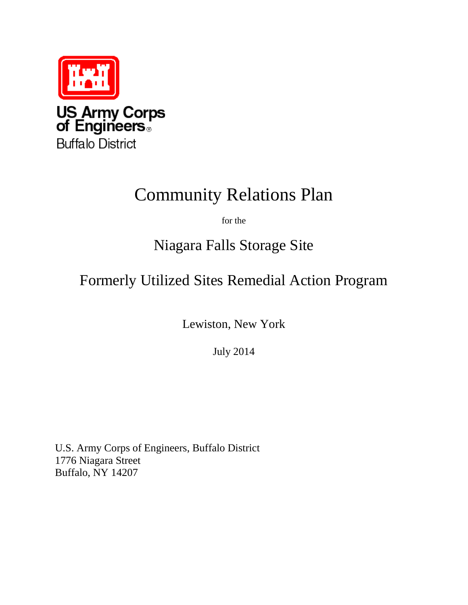

**Buffalo District** 

# Community Relations Plan

for the

## Niagara Falls Storage Site

## Formerly Utilized Sites Remedial Action Program

Lewiston, New York

July 2014

U.S. Army Corps of Engineers, Buffalo District 1776 Niagara Street Buffalo, NY 14207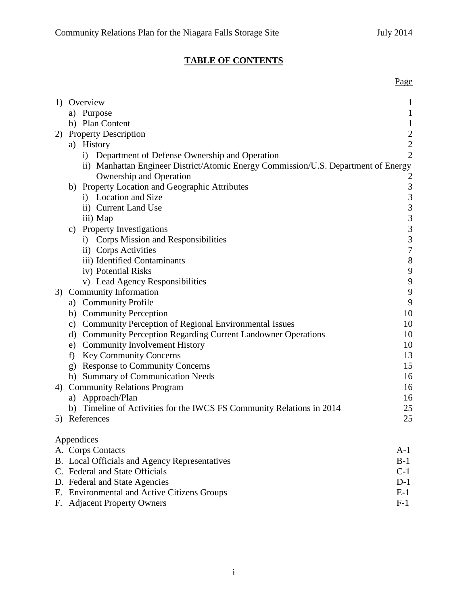### **TABLE OF CONTENTS**

|                                                                                    | Page             |  |  |
|------------------------------------------------------------------------------------|------------------|--|--|
| 1) Overview                                                                        | $\mathbf{1}$     |  |  |
| a) Purpose                                                                         | $\mathbf{1}$     |  |  |
| b) Plan Content                                                                    | $\mathbf 1$      |  |  |
| 2) Property Description                                                            |                  |  |  |
| a) History                                                                         | $\frac{2}{2}$    |  |  |
| i) Department of Defense Ownership and Operation                                   | $\overline{2}$   |  |  |
| ii) Manhattan Engineer District/Atomic Energy Commission/U.S. Department of Energy |                  |  |  |
| Ownership and Operation                                                            | $\overline{c}$   |  |  |
| b) Property Location and Geographic Attributes                                     | 3                |  |  |
| i) Location and Size                                                               | 3                |  |  |
| ii) Current Land Use                                                               | $\overline{3}$   |  |  |
| iii) Map                                                                           | $\overline{3}$   |  |  |
| c) Property Investigations                                                         | $\overline{3}$   |  |  |
| i) Corps Mission and Responsibilities                                              | $\overline{3}$   |  |  |
| ii) Corps Activities                                                               | $\overline{7}$   |  |  |
| iii) Identified Contaminants                                                       | $\,8\,$          |  |  |
| iv) Potential Risks                                                                | $\boldsymbol{9}$ |  |  |
| v) Lead Agency Responsibilities                                                    | $\mathbf{9}$     |  |  |
| 3) Community Information                                                           | 9                |  |  |
| a) Community Profile                                                               | 9                |  |  |
| b) Community Perception                                                            | 10               |  |  |
| c) Community Perception of Regional Environmental Issues                           | 10               |  |  |
| d) Community Perception Regarding Current Landowner Operations                     | 10               |  |  |
| e) Community Involvement History                                                   | 10               |  |  |
| f) Key Community Concerns                                                          | 13               |  |  |
| g) Response to Community Concerns                                                  | 15               |  |  |
| h) Summary of Communication Needs                                                  | 16               |  |  |
| 4) Community Relations Program                                                     | 16               |  |  |
| a) Approach/Plan                                                                   | 16               |  |  |
| b) Timeline of Activities for the IWCS FS Community Relations in 2014              | 25               |  |  |
| 5) References                                                                      | 25               |  |  |
| Appendices                                                                         |                  |  |  |
| A. Corps Contacts<br>A-1                                                           |                  |  |  |

| <b>B.</b> Local Officials and Agency Representatives | $B-1$ |
|------------------------------------------------------|-------|
| C. Federal and State Officials                       | $C-1$ |
| D. Federal and State Agencies                        | $D-1$ |
| E. Environmental and Active Citizens Groups          | $E-1$ |
| F. Adjacent Property Owners                          | F-1   |
|                                                      |       |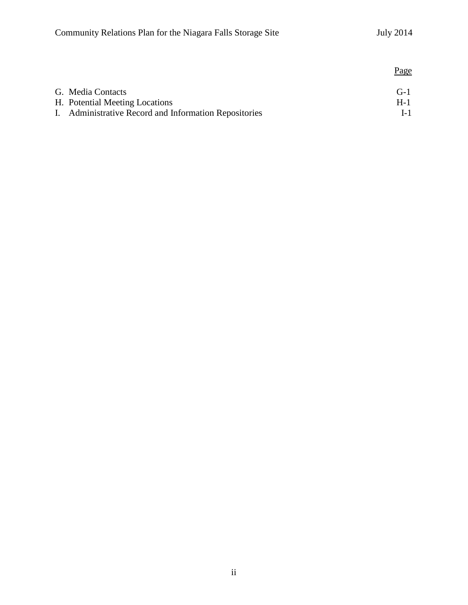|                                                       | <u>Page</u> |
|-------------------------------------------------------|-------------|
| G. Media Contacts                                     | $G-1$       |
| H. Potential Meeting Locations                        | $H-1$       |
| I. Administrative Record and Information Repositories | $L-1$       |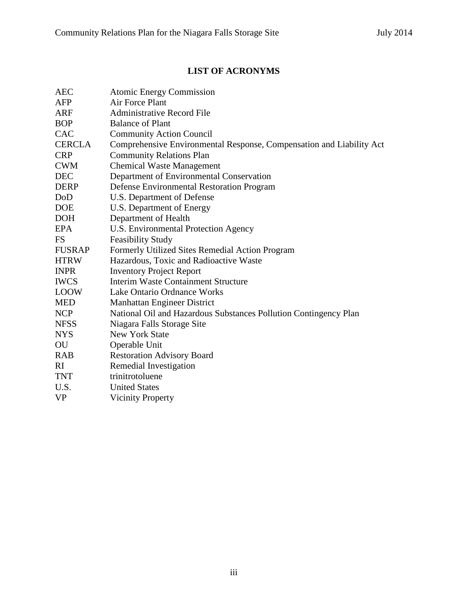### **LIST OF ACRONYMS**

| AEC                    | <b>Atomic Energy Commission</b>                                      |
|------------------------|----------------------------------------------------------------------|
| AFP                    | Air Force Plant                                                      |
| ARF                    | <b>Administrative Record File</b>                                    |
| <b>BOP</b>             | <b>Balance of Plant</b>                                              |
| <b>CAC</b>             | <b>Community Action Council</b>                                      |
| <b>CERCLA</b>          | Comprehensive Environmental Response, Compensation and Liability Act |
| <b>CRP</b>             | <b>Community Relations Plan</b>                                      |
| <b>CWM</b>             | <b>Chemical Waste Management</b>                                     |
| <b>DEC</b>             | Department of Environmental Conservation                             |
| <b>DERP</b>            | Defense Environmental Restoration Program                            |
| DoD                    | U.S. Department of Defense                                           |
| <b>DOE</b>             | U.S. Department of Energy                                            |
| <b>DOH</b>             | Department of Health                                                 |
| <b>EPA</b>             | U.S. Environmental Protection Agency                                 |
| <b>FS</b>              | <b>Feasibility Study</b>                                             |
| <b>FUSRAP</b>          | Formerly Utilized Sites Remedial Action Program                      |
| <b>HTRW</b>            | Hazardous, Toxic and Radioactive Waste                               |
| <b>INPR</b>            | <b>Inventory Project Report</b>                                      |
| <b>IWCS</b>            | Interim Waste Containment Structure                                  |
| <b>LOOW</b>            | Lake Ontario Ordnance Works                                          |
| <b>MED</b>             | Manhattan Engineer District                                          |
| <b>NCP</b>             | National Oil and Hazardous Substances Pollution Contingency Plan     |
| <b>NFSS</b>            | Niagara Falls Storage Site                                           |
| <b>NYS</b>             | New York State                                                       |
| $\overline{\text{OU}}$ | Operable Unit                                                        |
| <b>RAB</b>             | <b>Restoration Advisory Board</b>                                    |
| RI                     | Remedial Investigation                                               |
| <b>TNT</b>             | trinitrotoluene                                                      |
| U.S.                   | <b>United States</b>                                                 |
| <b>VP</b>              | <b>Vicinity Property</b>                                             |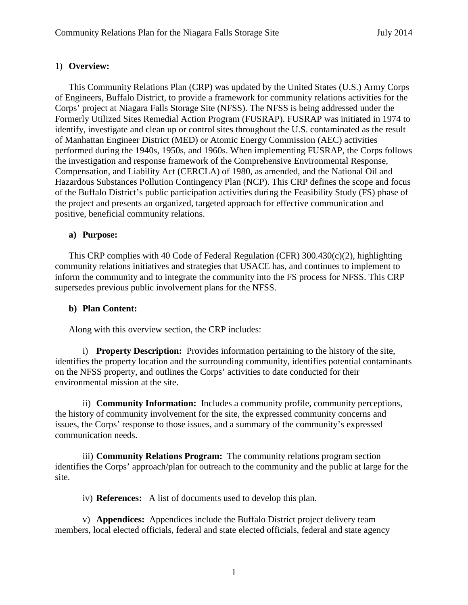#### 1) **Overview:**

This Community Relations Plan (CRP) was updated by the United States (U.S.) Army Corps of Engineers, Buffalo District, to provide a framework for community relations activities for the Corps' project at Niagara Falls Storage Site (NFSS). The NFSS is being addressed under the Formerly Utilized Sites Remedial Action Program (FUSRAP). FUSRAP was initiated in 1974 to identify, investigate and clean up or control sites throughout the U.S. contaminated as the result of Manhattan Engineer District (MED) or Atomic Energy Commission (AEC) activities performed during the 1940s, 1950s, and 1960s. When implementing FUSRAP, the Corps follows the investigation and response framework of the Comprehensive Environmental Response, Compensation, and Liability Act (CERCLA) of 1980, as amended, and the National Oil and Hazardous Substances Pollution Contingency Plan (NCP). This CRP defines the scope and focus of the Buffalo District's public participation activities during the Feasibility Study (FS) phase of the project and presents an organized, targeted approach for effective communication and positive, beneficial community relations.

#### **a) Purpose:**

This CRP complies with 40 Code of Federal Regulation (CFR)  $300.430(c)(2)$ , highlighting community relations initiatives and strategies that USACE has, and continues to implement to inform the community and to integrate the community into the FS process for NFSS. This CRP supersedes previous public involvement plans for the NFSS.

#### **b) Plan Content:**

Along with this overview section, the CRP includes:

i) **Property Description:** Provides information pertaining to the history of the site, identifies the property location and the surrounding community, identifies potential contaminants on the NFSS property, and outlines the Corps' activities to date conducted for their environmental mission at the site.

ii) **Community Information:** Includes a community profile, community perceptions, the history of community involvement for the site, the expressed community concerns and issues, the Corps' response to those issues, and a summary of the community's expressed communication needs.

iii) **Community Relations Program:** The community relations program section identifies the Corps' approach/plan for outreach to the community and the public at large for the site.

iv) **References:** A list of documents used to develop this plan.

v) **Appendices:** Appendices include the Buffalo District project delivery team members, local elected officials, federal and state elected officials, federal and state agency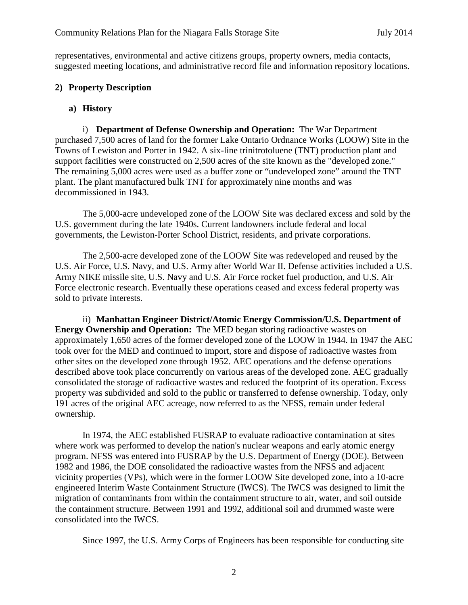representatives, environmental and active citizens groups, property owners, media contacts, suggested meeting locations, and administrative record file and information repository locations.

#### **2) Property Description**

#### **a) History**

i) **Department of Defense Ownership and Operation:** The War Department purchased 7,500 acres of land for the former Lake Ontario Ordnance Works (LOOW) Site in the Towns of Lewiston and Porter in 1942. A six-line trinitrotoluene (TNT) production plant and support facilities were constructed on 2,500 acres of the site known as the "developed zone." The remaining 5,000 acres were used as a buffer zone or "undeveloped zone" around the TNT plant. The plant manufactured bulk TNT for approximately nine months and was decommissioned in 1943.

The 5,000-acre undeveloped zone of the LOOW Site was declared excess and sold by the U.S. government during the late 1940s. Current landowners include federal and local governments, the Lewiston-Porter School District, residents, and private corporations.

The 2,500-acre developed zone of the LOOW Site was redeveloped and reused by the U.S. Air Force, U.S. Navy, and U.S. Army after World War II. Defense activities included a U.S. Army NIKE missile site, U.S. Navy and U.S. Air Force rocket fuel production, and U.S. Air Force electronic research. Eventually these operations ceased and excess federal property was sold to private interests.

ii) **Manhattan Engineer District/Atomic Energy Commission/U.S. Department of Energy Ownership and Operation:** The MED began storing radioactive wastes on approximately 1,650 acres of the former developed zone of the LOOW in 1944. In 1947 the AEC took over for the MED and continued to import, store and dispose of radioactive wastes from other sites on the developed zone through 1952. AEC operations and the defense operations described above took place concurrently on various areas of the developed zone. AEC gradually consolidated the storage of radioactive wastes and reduced the footprint of its operation. Excess property was subdivided and sold to the public or transferred to defense ownership. Today, only 191 acres of the original AEC acreage, now referred to as the NFSS, remain under federal ownership.

In 1974, the AEC established FUSRAP to evaluate radioactive contamination at sites where work was performed to develop the nation's nuclear weapons and early atomic energy program. NFSS was entered into FUSRAP by the U.S. Department of Energy (DOE). Between 1982 and 1986, the DOE consolidated the radioactive wastes from the NFSS and adjacent vicinity properties (VPs), which were in the former LOOW Site developed zone, into a 10-acre engineered Interim Waste Containment Structure (IWCS). The IWCS was designed to limit the migration of contaminants from within the containment structure to air, water, and soil outside the containment structure. Between 1991 and 1992, additional soil and drummed waste were consolidated into the IWCS.

Since 1997, the U.S. Army Corps of Engineers has been responsible for conducting site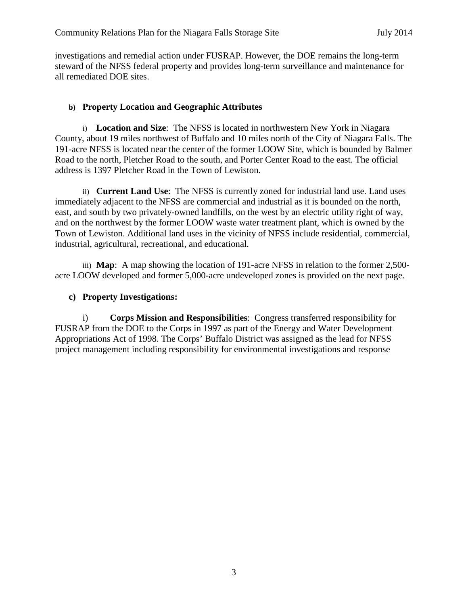investigations and remedial action under FUSRAP. However, the DOE remains the long-term steward of the NFSS federal property and provides long-term surveillance and maintenance for all remediated DOE sites.

#### **b) Property Location and Geographic Attributes**

i) **Location and Size**:The NFSS is located in northwestern New York in Niagara County, about 19 miles northwest of Buffalo and 10 miles north of the City of Niagara Falls. The 191-acre NFSS is located near the center of the former LOOW Site, which is bounded by Balmer Road to the north, Pletcher Road to the south, and Porter Center Road to the east. The official address is 1397 Pletcher Road in the Town of Lewiston.

ii) **Current Land Use**:The NFSS is currently zoned for industrial land use. Land uses immediately adjacent to the NFSS are commercial and industrial as it is bounded on the north, east, and south by two privately-owned landfills, on the west by an electric utility right of way, and on the northwest by the former LOOW waste water treatment plant, which is owned by the Town of Lewiston. Additional land uses in the vicinity of NFSS include residential, commercial, industrial, agricultural, recreational, and educational.

iii) **Map**: A map showing the location of 191-acre NFSS in relation to the former 2,500 acre LOOW developed and former 5,000-acre undeveloped zones is provided on the next page.

#### **c) Property Investigations:**

i) **Corps Mission and Responsibilities**: Congress transferred responsibility for FUSRAP from the DOE to the Corps in 1997 as part of the Energy and Water Development Appropriations Act of 1998. The Corps' Buffalo District was assigned as the lead for NFSS project management including responsibility for environmental investigations and response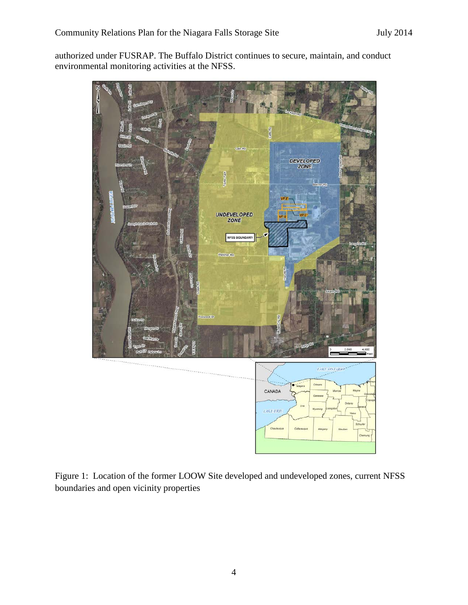authorized under FUSRAP. The Buffalo District continues to secure, maintain, and conduct environmental monitoring activities at the NFSS.



Figure 1: Location of the former LOOW Site developed and undeveloped zones, current NFSS boundaries and open vicinity properties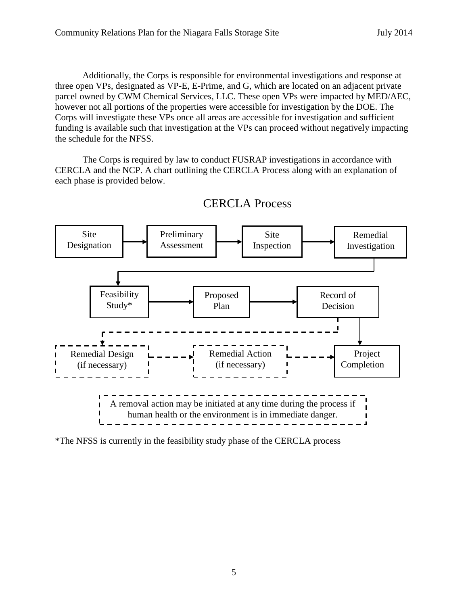Additionally, the Corps is responsible for environmental investigations and response at three open VPs, designated as VP-E, E-Prime, and G, which are located on an adjacent private parcel owned by CWM Chemical Services, LLC. These open VPs were impacted by MED/AEC, however not all portions of the properties were accessible for investigation by the DOE. The Corps will investigate these VPs once all areas are accessible for investigation and sufficient funding is available such that investigation at the VPs can proceed without negatively impacting the schedule for the NFSS.

The Corps is required by law to conduct FUSRAP investigations in accordance with CERCLA and the NCP. A chart outlining the CERCLA Process along with an explanation of each phase is provided below.



CERCLA Process

\*The NFSS is currently in the feasibility study phase of the CERCLA process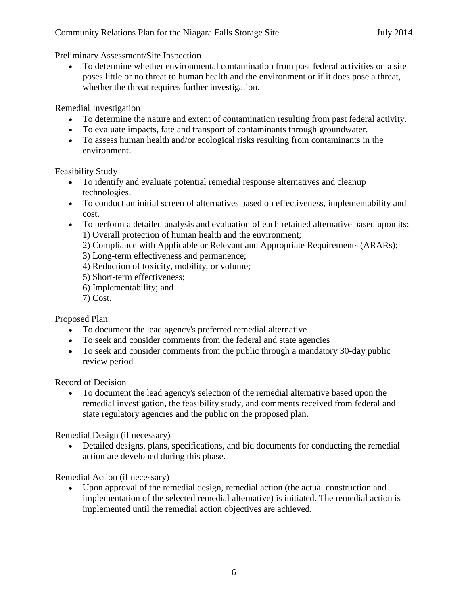Preliminary Assessment/Site Inspection

• To determine whether environmental contamination from past federal activities on a site poses little or no threat to human health and the environment or if it does pose a threat, whether the threat requires further investigation.

Remedial Investigation

- To determine the nature and extent of contamination resulting from past federal activity.
- To evaluate impacts, fate and transport of contaminants through groundwater.
- To assess human health and/or ecological risks resulting from contaminants in the environment.

Feasibility Study

- To identify and evaluate potential remedial response alternatives and cleanup technologies.
- To conduct an initial screen of alternatives based on effectiveness, implementability and cost.
- To perform a detailed analysis and evaluation of each retained alternative based upon its: 1) Overall protection of human health and the environment;
	- 2) Compliance with Applicable or Relevant and Appropriate Requirements (ARARs);
	- 3) Long-term effectiveness and permanence;
	- 4) Reduction of toxicity, mobility, or volume;
	- 5) Short-term effectiveness;
	- 6) Implementability; and
	- 7) Cost.

Proposed Plan

- To document the lead agency's preferred remedial alternative
- To seek and consider comments from the federal and state agencies
- To seek and consider comments from the public through a mandatory 30-day public review period

Record of Decision

• To document the lead agency's selection of the remedial alternative based upon the remedial investigation, the feasibility study, and comments received from federal and state regulatory agencies and the public on the proposed plan.

Remedial Design (if necessary)

• Detailed designs, plans, specifications, and bid documents for conducting the remedial action are developed during this phase.

Remedial Action (if necessary)

• Upon approval of the remedial design, remedial action (the actual construction and implementation of the selected remedial alternative) is initiated. The remedial action is implemented until the remedial action objectives are achieved.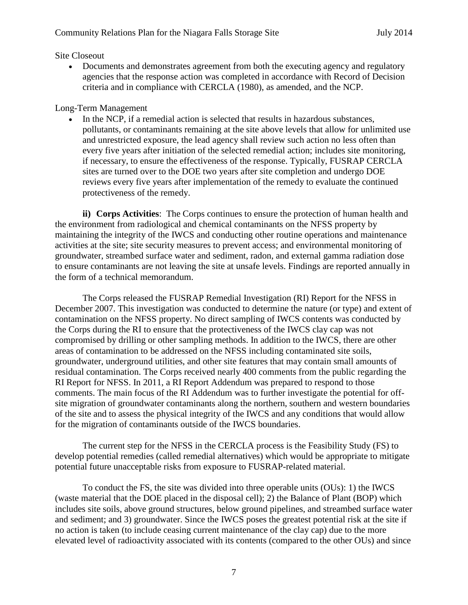#### Site Closeout

• Documents and demonstrates agreement from both the executing agency and regulatory agencies that the response action was completed in accordance with Record of Decision criteria and in compliance with CERCLA (1980), as amended, and the NCP.

#### Long-Term Management

In the NCP, if a remedial action is selected that results in hazardous substances, pollutants, or contaminants remaining at the site above levels that allow for unlimited use and unrestricted exposure, the lead agency shall review such action no less often than every five years after initiation of the selected remedial action; includes site monitoring, if necessary, to ensure the effectiveness of the response. Typically, FUSRAP CERCLA sites are turned over to the DOE two years after site completion and undergo DOE reviews every five years after implementation of the remedy to evaluate the continued protectiveness of the remedy.

**ii) Corps Activities**: The Corps continues to ensure the protection of human health and the environment from radiological and chemical contaminants on the NFSS property by maintaining the integrity of the IWCS and conducting other routine operations and maintenance activities at the site; site security measures to prevent access; and environmental monitoring of groundwater, streambed surface water and sediment, radon, and external gamma radiation dose to ensure contaminants are not leaving the site at unsafe levels. Findings are reported annually in the form of a technical memorandum.

The Corps released the FUSRAP Remedial Investigation (RI) Report for the NFSS in December 2007. This investigation was conducted to determine the nature (or type) and extent of contamination on the NFSS property. No direct sampling of IWCS contents was conducted by the Corps during the RI to ensure that the protectiveness of the IWCS clay cap was not compromised by drilling or other sampling methods. In addition to the IWCS, there are other areas of contamination to be addressed on the NFSS including contaminated site soils, groundwater, underground utilities, and other site features that may contain small amounts of residual contamination. The Corps received nearly 400 comments from the public regarding the RI Report for NFSS. In 2011, a RI Report Addendum was prepared to respond to those comments. The main focus of the RI Addendum was to further investigate the potential for offsite migration of groundwater contaminants along the northern, southern and western boundaries of the site and to assess the physical integrity of the IWCS and any conditions that would allow for the migration of contaminants outside of the IWCS boundaries.

The current step for the NFSS in the CERCLA process is the Feasibility Study (FS) to develop potential remedies (called remedial alternatives) which would be appropriate to mitigate potential future unacceptable risks from exposure to FUSRAP-related material.

To conduct the FS, the site was divided into three operable units (OUs): 1) the IWCS (waste material that the DOE placed in the disposal cell); 2) the Balance of Plant (BOP) which includes site soils, above ground structures, below ground pipelines, and streambed surface water and sediment; and 3) groundwater. Since the IWCS poses the greatest potential risk at the site if no action is taken (to include ceasing current maintenance of the clay cap) due to the more elevated level of radioactivity associated with its contents (compared to the other OUs) and since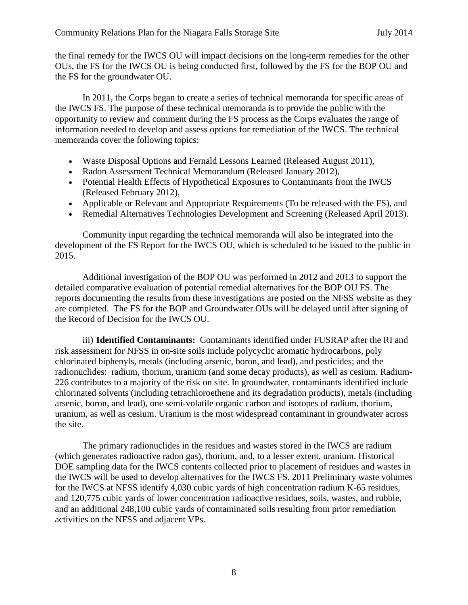the final remedy for the IWCS OU will impact decisions on the long-term remedies for the other OUs, the FS for the IWCS OU is being conducted first, followed by the FS for the BOP OU and the FS for the groundwater OU.

In 2011, the Corps began to create a series of technical memoranda for specific areas of the IWCS FS. The purpose of these technical memoranda is to provide the public with the opportunity to review and comment during the FS process as the Corps evaluates the range of information needed to develop and assess options for remediation of the IWCS. The technical memoranda cover the following topics:

- Waste Disposal Options and Fernald Lessons Learned (Released August 2011),
- Radon Assessment Technical Memorandum (Released January 2012),
- Potential Health Effects of Hypothetical Exposures to Contaminants from the IWCS (Released February 2012),
- Applicable or Relevant and Appropriate Requirements (To be released with the FS), and
- Remedial Alternatives Technologies Development and Screening (Released April 2013).

Community input regarding the technical memoranda will also be integrated into the development of the FS Report for the IWCS OU, which is scheduled to be issued to the public in 2015.

Additional investigation of the BOP OU was performed in 2012 and 2013 to support the detailed comparative evaluation of potential remedial alternatives for the BOP OU FS. The reports documenting the results from these investigations are posted on the NFSS website as they are completed. The FS for the BOP and Groundwater OUs will be delayed until after signing of the Record of Decision for the IWCS OU.

iii) **Identified Contaminants:** Contaminants identified under FUSRAP after the RI and risk assessment for NFSS in on-site soils include polycyclic aromatic hydrocarbons, poly chlorinated biphenyls, metals (including arsenic, boron, and lead), and pesticides; and the radionuclides: radium, thorium, uranium (and some decay products), as well as cesium. Radium-226 contributes to a majority of the risk on site. In groundwater, contaminants identified include chlorinated solvents (including tetrachloroethene and its degradation products), metals (including arsenic, boron, and lead), one semi-volatile organic carbon and isotopes of radium, thorium, uranium, as well as cesium. Uranium is the most widespread contaminant in groundwater across the site.

The primary radionuclides in the residues and wastes stored in the IWCS are radium (which generates radioactive radon gas), thorium, and, to a lesser extent, uranium. Historical DOE sampling data for the IWCS contents collected prior to placement of residues and wastes in the IWCS will be used to develop alternatives for the IWCS FS. 2011 Preliminary waste volumes for the IWCS at NFSS identify 4,030 cubic yards of high concentration radium K-65 residues, and 120,775 cubic yards of lower concentration radioactive residues, soils, wastes, and rubble, and an additional 248,100 cubic yards of contaminated soils resulting from prior remediation activities on the NFSS and adjacent VPs.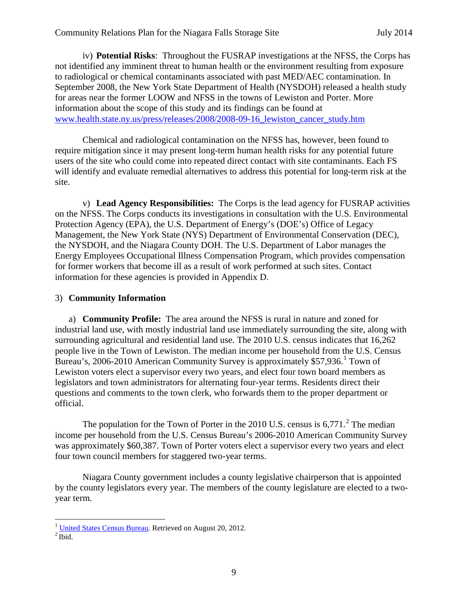iv) **Potential Risks**: Throughout the FUSRAP investigations at the NFSS, the Corps has not identified any imminent threat to human health or the environment resulting from exposure to radiological or chemical contaminants associated with past MED/AEC contamination. In September 2008, the New York State Department of Health (NYSDOH) released a health study for areas near the former LOOW and NFSS in the towns of Lewiston and Porter. More information about the scope of this study and its findings can be found at [www.health.state.ny.us/press/releases/2008/2008-09-16\\_lewiston\\_cancer\\_study.htm](http://www.health.state.ny.us/press/releases/2008/2008-09-16_lewiston_cancer_study.htm)

Chemical and radiological contamination on the NFSS has, however, been found to require mitigation since it may present long-term human health risks for any potential future users of the site who could come into repeated direct contact with site contaminants. Each FS will identify and evaluate remedial alternatives to address this potential for long-term risk at the site.

v) **Lead Agency Responsibilities:** The Corps is the lead agency for FUSRAP activities on the NFSS. The Corps conducts its investigations in consultation with the U.S. Environmental Protection Agency (EPA), the U.S. Department of Energy's (DOE's) Office of Legacy Management, the New York State (NYS) Department of Environmental Conservation (DEC), the NYSDOH, and the Niagara County DOH. The U.S. Department of Labor manages the Energy Employees Occupational Illness Compensation Program, which provides compensation for former workers that become ill as a result of work performed at such sites. Contact information for these agencies is provided in Appendix D.

#### 3) **Community Information**

a) **Community Profile:** The area around the NFSS is rural in nature and zoned for industrial land use, with mostly industrial land use immediately surrounding the site, along with surrounding agricultural and residential land use. The 2010 U.S. census indicates that 16,262 people live in the Town of Lewiston. The median income per household from the U.S. Census Bureau's, 2006-20[1](#page-12-0)0 American Community Survey is approximately \$57,936.<sup>1</sup> Town of Lewiston voters elect a supervisor every two years, and elect four town board members as legislators and town administrators for alternating four-year terms. Residents direct their questions and comments to the town clerk, who forwards them to the proper department or official.

The population for the Town of Porter in the [2](#page-12-1)010 U.S. census is  $6,771$ <sup>2</sup>. The median income per household from the U.S. Census Bureau's 2006-2010 American Community Survey was approximately \$60,387. Town of Porter voters elect a supervisor every two years and elect four town council members for staggered two-year terms.

Niagara County government includes a county legislative chairperson that is appointed by the county legislators every year. The members of the county legislature are elected to a twoyear term.

<span id="page-12-1"></span><span id="page-12-0"></span> $\frac{1}{2}$  [United States Census Bureau.](http://en.wikipedia.org/wiki/United_States_Census_Bureau) Retrieved on August 20, 2012.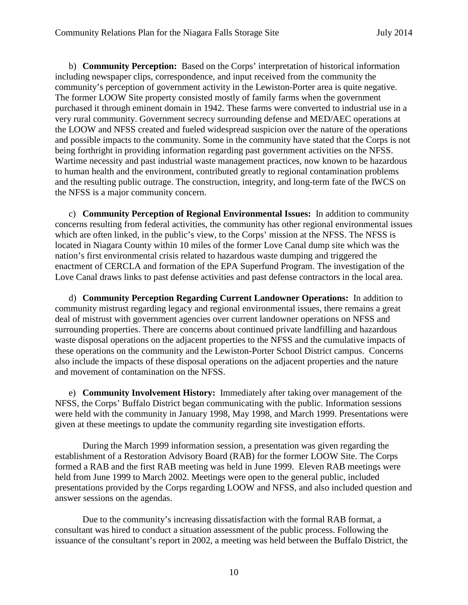b) **Community Perception:** Based on the Corps' interpretation of historical information including newspaper clips, correspondence, and input received from the community the community's perception of government activity in the Lewiston-Porter area is quite negative. The former LOOW Site property consisted mostly of family farms when the government purchased it through eminent domain in 1942. These farms were converted to industrial use in a very rural community. Government secrecy surrounding defense and MED/AEC operations at the LOOW and NFSS created and fueled widespread suspicion over the nature of the operations and possible impacts to the community. Some in the community have stated that the Corps is not being forthright in providing information regarding past government activities on the NFSS. Wartime necessity and past industrial waste management practices, now known to be hazardous to human health and the environment, contributed greatly to regional contamination problems and the resulting public outrage. The construction, integrity, and long-term fate of the IWCS on the NFSS is a major community concern.

c) **Community Perception of Regional Environmental Issues:** In addition to community concerns resulting from federal activities, the community has other regional environmental issues which are often linked, in the public's view, to the Corps' mission at the NFSS. The NFSS is located in Niagara County within 10 miles of the former Love Canal dump site which was the nation's first environmental crisis related to hazardous waste dumping and triggered the enactment of CERCLA and formation of the EPA Superfund Program. The investigation of the Love Canal draws links to past defense activities and past defense contractors in the local area.

d) **Community Perception Regarding Current Landowner Operations:** In addition to community mistrust regarding legacy and regional environmental issues, there remains a great deal of mistrust with government agencies over current landowner operations on NFSS and surrounding properties. There are concerns about continued private landfilling and hazardous waste disposal operations on the adjacent properties to the NFSS and the cumulative impacts of these operations on the community and the Lewiston-Porter School District campus. Concerns also include the impacts of these disposal operations on the adjacent properties and the nature and movement of contamination on the NFSS.

e) **Community Involvement History:** Immediately after taking over management of the NFSS, the Corps' Buffalo District began communicating with the public. Information sessions were held with the community in January 1998, May 1998, and March 1999. Presentations were given at these meetings to update the community regarding site investigation efforts.

During the March 1999 information session, a presentation was given regarding the establishment of a Restoration Advisory Board (RAB) for the former LOOW Site. The Corps formed a RAB and the first RAB meeting was held in June 1999. Eleven RAB meetings were held from June 1999 to March 2002. Meetings were open to the general public, included presentations provided by the Corps regarding LOOW and NFSS, and also included question and answer sessions on the agendas.

Due to the community's increasing dissatisfaction with the formal RAB format, a consultant was hired to conduct a situation assessment of the public process. Following the issuance of the consultant's report in 2002, a meeting was held between the Buffalo District, the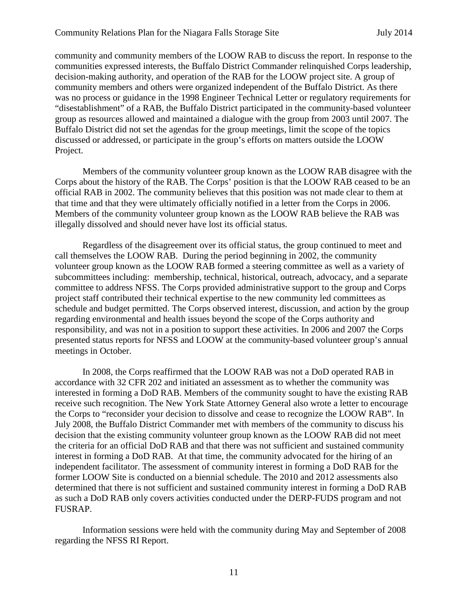community and community members of the LOOW RAB to discuss the report. In response to the communities expressed interests, the Buffalo District Commander relinquished Corps leadership, decision-making authority, and operation of the RAB for the LOOW project site. A group of community members and others were organized independent of the Buffalo District. As there was no process or guidance in the 1998 Engineer Technical Letter or regulatory requirements for "disestablishment" of a RAB, the Buffalo District participated in the community-based volunteer group as resources allowed and maintained a dialogue with the group from 2003 until 2007. The Buffalo District did not set the agendas for the group meetings, limit the scope of the topics discussed or addressed, or participate in the group's efforts on matters outside the LOOW Project.

Members of the community volunteer group known as the LOOW RAB disagree with the Corps about the history of the RAB. The Corps' position is that the LOOW RAB ceased to be an official RAB in 2002. The community believes that this position was not made clear to them at that time and that they were ultimately officially notified in a letter from the Corps in 2006. Members of the community volunteer group known as the LOOW RAB believe the RAB was illegally dissolved and should never have lost its official status.

Regardless of the disagreement over its official status, the group continued to meet and call themselves the LOOW RAB. During the period beginning in 2002, the community volunteer group known as the LOOW RAB formed a steering committee as well as a variety of subcommittees including: membership, technical, historical, outreach, advocacy, and a separate committee to address NFSS. The Corps provided administrative support to the group and Corps project staff contributed their technical expertise to the new community led committees as schedule and budget permitted. The Corps observed interest, discussion, and action by the group regarding environmental and health issues beyond the scope of the Corps authority and responsibility, and was not in a position to support these activities. In 2006 and 2007 the Corps presented status reports for NFSS and LOOW at the community-based volunteer group's annual meetings in October.

In 2008, the Corps reaffirmed that the LOOW RAB was not a DoD operated RAB in accordance with 32 CFR 202 and initiated an assessment as to whether the community was interested in forming a DoD RAB. Members of the community sought to have the existing RAB receive such recognition. The New York State Attorney General also wrote a letter to encourage the Corps to "reconsider your decision to dissolve and cease to recognize the LOOW RAB". In July 2008, the Buffalo District Commander met with members of the community to discuss his decision that the existing community volunteer group known as the LOOW RAB did not meet the criteria for an official DoD RAB and that there was not sufficient and sustained community interest in forming a DoD RAB. At that time, the community advocated for the hiring of an independent facilitator. The assessment of community interest in forming a DoD RAB for the former LOOW Site is conducted on a biennial schedule. The 2010 and 2012 assessments also determined that there is not sufficient and sustained community interest in forming a DoD RAB as such a DoD RAB only covers activities conducted under the DERP-FUDS program and not FUSRAP.

Information sessions were held with the community during May and September of 2008 regarding the NFSS RI Report.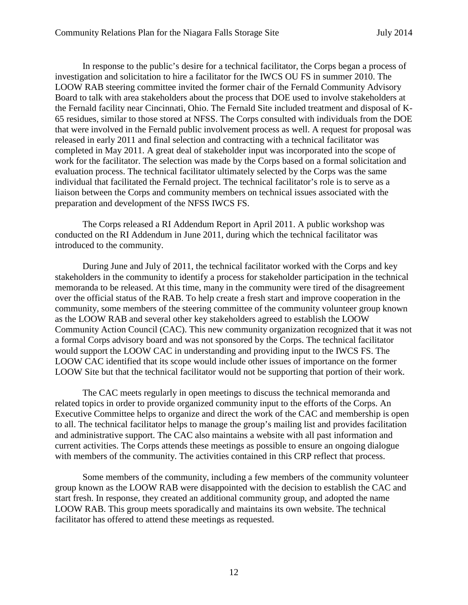In response to the public's desire for a technical facilitator, the Corps began a process of investigation and solicitation to hire a facilitator for the IWCS OU FS in summer 2010. The LOOW RAB steering committee invited the former chair of the Fernald Community Advisory Board to talk with area stakeholders about the process that DOE used to involve stakeholders at the Fernald facility near Cincinnati, Ohio. The Fernald Site included treatment and disposal of K-65 residues, similar to those stored at NFSS. The Corps consulted with individuals from the DOE that were involved in the Fernald public involvement process as well. A request for proposal was released in early 2011 and final selection and contracting with a technical facilitator was completed in May 2011. A great deal of stakeholder input was incorporated into the scope of work for the facilitator. The selection was made by the Corps based on a formal solicitation and evaluation process. The technical facilitator ultimately selected by the Corps was the same individual that facilitated the Fernald project. The technical facilitator's role is to serve as a liaison between the Corps and community members on technical issues associated with the preparation and development of the NFSS IWCS FS.

The Corps released a RI Addendum Report in April 2011. A public workshop was conducted on the RI Addendum in June 2011, during which the technical facilitator was introduced to the community.

During June and July of 2011, the technical facilitator worked with the Corps and key stakeholders in the community to identify a process for stakeholder participation in the technical memoranda to be released. At this time, many in the community were tired of the disagreement over the official status of the RAB. To help create a fresh start and improve cooperation in the community, some members of the steering committee of the community volunteer group known as the LOOW RAB and several other key stakeholders agreed to establish the LOOW Community Action Council (CAC). This new community organization recognized that it was not a formal Corps advisory board and was not sponsored by the Corps. The technical facilitator would support the LOOW CAC in understanding and providing input to the IWCS FS. The LOOW CAC identified that its scope would include other issues of importance on the former LOOW Site but that the technical facilitator would not be supporting that portion of their work.

The CAC meets regularly in open meetings to discuss the technical memoranda and related topics in order to provide organized community input to the efforts of the Corps. An Executive Committee helps to organize and direct the work of the CAC and membership is open to all. The technical facilitator helps to manage the group's mailing list and provides facilitation and administrative support. The CAC also maintains a website with all past information and current activities. The Corps attends these meetings as possible to ensure an ongoing dialogue with members of the community. The activities contained in this CRP reflect that process.

Some members of the community, including a few members of the community volunteer group known as the LOOW RAB were disappointed with the decision to establish the CAC and start fresh. In response, they created an additional community group, and adopted the name LOOW RAB. This group meets sporadically and maintains its own website. The technical facilitator has offered to attend these meetings as requested.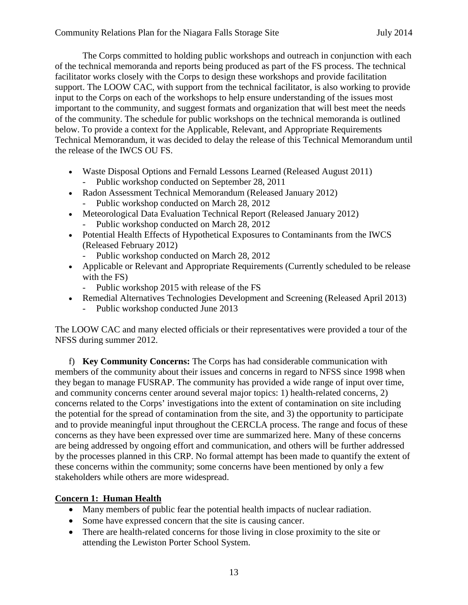The Corps committed to holding public workshops and outreach in conjunction with each of the technical memoranda and reports being produced as part of the FS process. The technical facilitator works closely with the Corps to design these workshops and provide facilitation support. The LOOW CAC, with support from the technical facilitator, is also working to provide input to the Corps on each of the workshops to help ensure understanding of the issues most important to the community, and suggest formats and organization that will best meet the needs of the community. The schedule for public workshops on the technical memoranda is outlined below. To provide a context for the Applicable, Relevant, and Appropriate Requirements Technical Memorandum, it was decided to delay the release of this Technical Memorandum until the release of the IWCS OU FS.

- Waste Disposal Options and Fernald Lessons Learned (Released August 2011)
	- Public workshop conducted on September 28, 2011
- Radon Assessment Technical Memorandum (Released January 2012)
	- Public workshop conducted on March 28, 2012
- Meteorological Data Evaluation Technical Report (Released January 2012) Public workshop conducted on March 28, 2012
- Potential Health Effects of Hypothetical Exposures to Contaminants from the IWCS (Released February 2012)
	- Public workshop conducted on March 28, 2012
- Applicable or Relevant and Appropriate Requirements (Currently scheduled to be release with the FS)
	- Public workshop 2015 with release of the FS
- Remedial Alternatives Technologies Development and Screening (Released April 2013)
	- Public workshop conducted June 2013

The LOOW CAC and many elected officials or their representatives were provided a tour of the NFSS during summer 2012.

f) **Key Community Concerns:** The Corps has had considerable communication with members of the community about their issues and concerns in regard to NFSS since 1998 when they began to manage FUSRAP. The community has provided a wide range of input over time, and community concerns center around several major topics: 1) health-related concerns, 2) concerns related to the Corps' investigations into the extent of contamination on site including the potential for the spread of contamination from the site, and 3) the opportunity to participate and to provide meaningful input throughout the CERCLA process. The range and focus of these concerns as they have been expressed over time are summarized here. Many of these concerns are being addressed by ongoing effort and communication, and others will be further addressed by the processes planned in this CRP. No formal attempt has been made to quantify the extent of these concerns within the community; some concerns have been mentioned by only a few stakeholders while others are more widespread.

#### **Concern 1: Human Health**

- Many members of public fear the potential health impacts of nuclear radiation.
- Some have expressed concern that the site is causing cancer.
- There are health-related concerns for those living in close proximity to the site or attending the Lewiston Porter School System.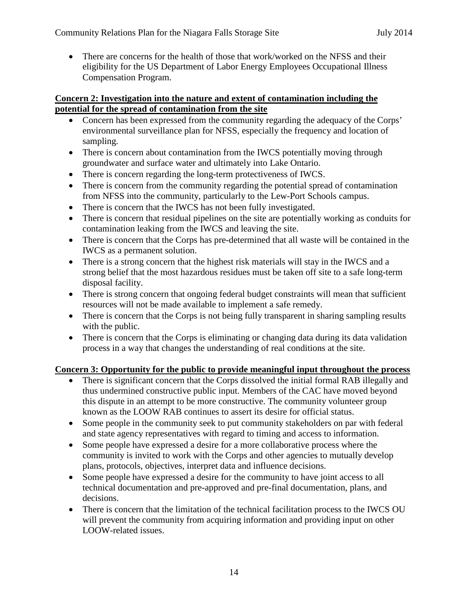• There are concerns for the health of those that work/worked on the NFSS and their eligibility for the US Department of Labor Energy Employees Occupational Illness Compensation Program.

#### **Concern 2: Investigation into the nature and extent of contamination including the potential for the spread of contamination from the site**

- Concern has been expressed from the community regarding the adequacy of the Corps' environmental surveillance plan for NFSS, especially the frequency and location of sampling.
- There is concern about contamination from the IWCS potentially moving through groundwater and surface water and ultimately into Lake Ontario.
- There is concern regarding the long-term protectiveness of IWCS.
- There is concern from the community regarding the potential spread of contamination from NFSS into the community, particularly to the Lew-Port Schools campus.
- There is concern that the IWCS has not been fully investigated.
- There is concern that residual pipelines on the site are potentially working as conduits for contamination leaking from the IWCS and leaving the site.
- There is concern that the Corps has pre-determined that all waste will be contained in the IWCS as a permanent solution.
- There is a strong concern that the highest risk materials will stay in the IWCS and a strong belief that the most hazardous residues must be taken off site to a safe long-term disposal facility.
- There is strong concern that ongoing federal budget constraints will mean that sufficient resources will not be made available to implement a safe remedy.
- There is concern that the Corps is not being fully transparent in sharing sampling results with the public.
- There is concern that the Corps is eliminating or changing data during its data validation process in a way that changes the understanding of real conditions at the site.

#### **Concern 3: Opportunity for the public to provide meaningful input throughout the process**

- There is significant concern that the Corps dissolved the initial formal RAB illegally and thus undermined constructive public input. Members of the CAC have moved beyond this dispute in an attempt to be more constructive. The community volunteer group known as the LOOW RAB continues to assert its desire for official status.
- Some people in the community seek to put community stakeholders on par with federal and state agency representatives with regard to timing and access to information.
- Some people have expressed a desire for a more collaborative process where the community is invited to work with the Corps and other agencies to mutually develop plans, protocols, objectives, interpret data and influence decisions.
- Some people have expressed a desire for the community to have joint access to all technical documentation and pre-approved and pre-final documentation, plans, and decisions.
- There is concern that the limitation of the technical facilitation process to the IWCS OU will prevent the community from acquiring information and providing input on other LOOW-related issues.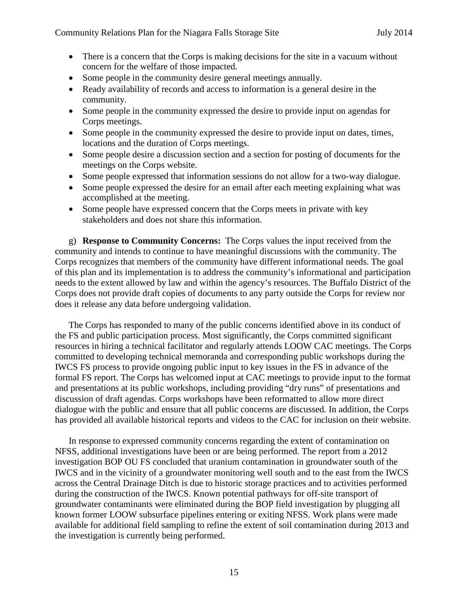- There is a concern that the Corps is making decisions for the site in a vacuum without concern for the welfare of those impacted.
- Some people in the community desire general meetings annually.
- Ready availability of records and access to information is a general desire in the community.
- Some people in the community expressed the desire to provide input on agendas for Corps meetings.
- Some people in the community expressed the desire to provide input on dates, times, locations and the duration of Corps meetings.
- Some people desire a discussion section and a section for posting of documents for the meetings on the Corps website.
- Some people expressed that information sessions do not allow for a two-way dialogue.
- Some people expressed the desire for an email after each meeting explaining what was accomplished at the meeting.
- Some people have expressed concern that the Corps meets in private with key stakeholders and does not share this information.

g) **Response to Community Concerns:** The Corps values the input received from the community and intends to continue to have meaningful discussions with the community. The Corps recognizes that members of the community have different informational needs. The goal of this plan and its implementation is to address the community's informational and participation needs to the extent allowed by law and within the agency's resources. The Buffalo District of the Corps does not provide draft copies of documents to any party outside the Corps for review nor does it release any data before undergoing validation.

The Corps has responded to many of the public concerns identified above in its conduct of the FS and public participation process. Most significantly, the Corps committed significant resources in hiring a technical facilitator and regularly attends LOOW CAC meetings. The Corps committed to developing technical memoranda and corresponding public workshops during the IWCS FS process to provide ongoing public input to key issues in the FS in advance of the formal FS report. The Corps has welcomed input at CAC meetings to provide input to the format and presentations at its public workshops, including providing "dry runs" of presentations and discussion of draft agendas. Corps workshops have been reformatted to allow more direct dialogue with the public and ensure that all public concerns are discussed. In addition, the Corps has provided all available historical reports and videos to the CAC for inclusion on their website.

In response to expressed community concerns regarding the extent of contamination on NFSS, additional investigations have been or are being performed. The report from a 2012 investigation BOP OU FS concluded that uranium contamination in groundwater south of the IWCS and in the vicinity of a groundwater monitoring well south and to the east from the IWCS across the Central Drainage Ditch is due to historic storage practices and to activities performed during the construction of the IWCS. Known potential pathways for off-site transport of groundwater contaminants were eliminated during the BOP field investigation by plugging all known former LOOW subsurface pipelines entering or exiting NFSS. Work plans were made available for additional field sampling to refine the extent of soil contamination during 2013 and the investigation is currently being performed.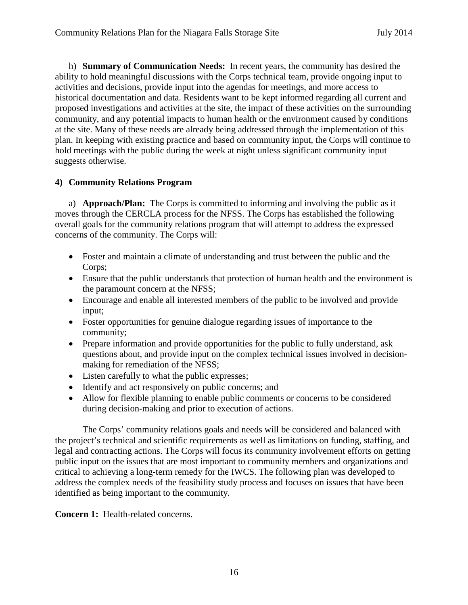h) **Summary of Communication Needs:** In recent years, the community has desired the ability to hold meaningful discussions with the Corps technical team, provide ongoing input to activities and decisions, provide input into the agendas for meetings, and more access to historical documentation and data. Residents want to be kept informed regarding all current and proposed investigations and activities at the site, the impact of these activities on the surrounding community, and any potential impacts to human health or the environment caused by conditions at the site. Many of these needs are already being addressed through the implementation of this plan. In keeping with existing practice and based on community input, the Corps will continue to hold meetings with the public during the week at night unless significant community input suggests otherwise.

#### **4) Community Relations Program**

a) **Approach/Plan:** The Corps is committed to informing and involving the public as it moves through the CERCLA process for the NFSS. The Corps has established the following overall goals for the community relations program that will attempt to address the expressed concerns of the community. The Corps will:

- Foster and maintain a climate of understanding and trust between the public and the Corps;
- Ensure that the public understands that protection of human health and the environment is the paramount concern at the NFSS;
- Encourage and enable all interested members of the public to be involved and provide input;
- Foster opportunities for genuine dialogue regarding issues of importance to the community;
- Prepare information and provide opportunities for the public to fully understand, ask questions about, and provide input on the complex technical issues involved in decisionmaking for remediation of the NFSS;
- Listen carefully to what the public expresses;
- Identify and act responsively on public concerns; and
- Allow for flexible planning to enable public comments or concerns to be considered during decision-making and prior to execution of actions.

The Corps' community relations goals and needs will be considered and balanced with the project's technical and scientific requirements as well as limitations on funding, staffing, and legal and contracting actions. The Corps will focus its community involvement efforts on getting public input on the issues that are most important to community members and organizations and critical to achieving a long-term remedy for the IWCS. The following plan was developed to address the complex needs of the feasibility study process and focuses on issues that have been identified as being important to the community.

**Concern 1:** Health-related concerns.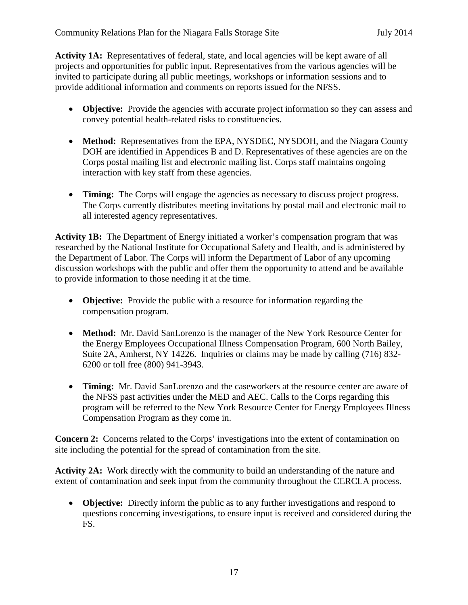Activity 1A: Representatives of federal, state, and local agencies will be kept aware of all projects and opportunities for public input. Representatives from the various agencies will be invited to participate during all public meetings, workshops or information sessions and to provide additional information and comments on reports issued for the NFSS.

- **Objective:** Provide the agencies with accurate project information so they can assess and convey potential health-related risks to constituencies.
- **Method:** Representatives from the EPA, NYSDEC, NYSDOH, and the Niagara County DOH are identified in Appendices B and D. Representatives of these agencies are on the Corps postal mailing list and electronic mailing list. Corps staff maintains ongoing interaction with key staff from these agencies.
- **Timing:** The Corps will engage the agencies as necessary to discuss project progress. The Corps currently distributes meeting invitations by postal mail and electronic mail to all interested agency representatives.

**Activity 1B:** The Department of Energy initiated a worker's compensation program that was researched by the National Institute for Occupational Safety and Health, and is administered by the Department of Labor. The Corps will inform the Department of Labor of any upcoming discussion workshops with the public and offer them the opportunity to attend and be available to provide information to those needing it at the time.

- **Objective:** Provide the public with a resource for information regarding the compensation program.
- **Method:** Mr. David SanLorenzo is the manager of the New York Resource Center for the Energy Employees Occupational Illness Compensation Program, 600 North Bailey, Suite 2A, Amherst, NY 14226. Inquiries or claims may be made by calling (716) 832- 6200 or toll free (800) 941-3943.
- **Timing:** Mr. David SanLorenzo and the caseworkers at the resource center are aware of the NFSS past activities under the MED and AEC. Calls to the Corps regarding this program will be referred to the New York Resource Center for Energy Employees Illness Compensation Program as they come in.

**Concern 2:** Concerns related to the Corps' investigations into the extent of contamination on site including the potential for the spread of contamination from the site.

**Activity 2A:** Work directly with the community to build an understanding of the nature and extent of contamination and seek input from the community throughout the CERCLA process.

• **Objective:** Directly inform the public as to any further investigations and respond to questions concerning investigations, to ensure input is received and considered during the FS.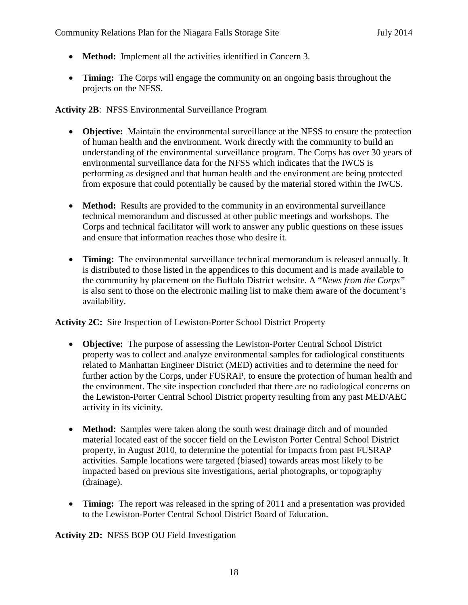- **Method:** Implement all the activities identified in Concern 3.
- **Timing:** The Corps will engage the community on an ongoing basis throughout the projects on the NFSS.

#### **Activity 2B**: NFSS Environmental Surveillance Program

- **Objective:** Maintain the environmental surveillance at the NFSS to ensure the protection of human health and the environment. Work directly with the community to build an understanding of the environmental surveillance program. The Corps has over 30 years of environmental surveillance data for the NFSS which indicates that the IWCS is performing as designed and that human health and the environment are being protected from exposure that could potentially be caused by the material stored within the IWCS.
- **Method:** Results are provided to the community in an environmental surveillance technical memorandum and discussed at other public meetings and workshops. The Corps and technical facilitator will work to answer any public questions on these issues and ensure that information reaches those who desire it.
- **Timing:** The environmental surveillance technical memorandum is released annually. It is distributed to those listed in the appendices to this document and is made available to the community by placement on the Buffalo District website. A "*News from the Corps"* is also sent to those on the electronic mailing list to make them aware of the document's availability.

#### **Activity 2C:** Site Inspection of Lewiston-Porter School District Property

- **Objective:** The purpose of assessing the Lewiston-Porter Central School District property was to collect and analyze environmental samples for radiological constituents related to Manhattan Engineer District (MED) activities and to determine the need for further action by the Corps, under FUSRAP, to ensure the protection of human health and the environment. The site inspection concluded that there are no radiological concerns on the Lewiston-Porter Central School District property resulting from any past MED/AEC activity in its vicinity.
- **Method:** Samples were taken along the south west drainage ditch and of mounded material located east of the soccer field on the Lewiston Porter Central School District property, in August 2010, to determine the potential for impacts from past FUSRAP activities. Sample locations were targeted (biased) towards areas most likely to be impacted based on previous site investigations, aerial photographs, or topography (drainage).
- **Timing:** The report was released in the spring of 2011 and a presentation was provided to the Lewiston-Porter Central School District Board of Education.

**Activity 2D:** NFSS BOP OU Field Investigation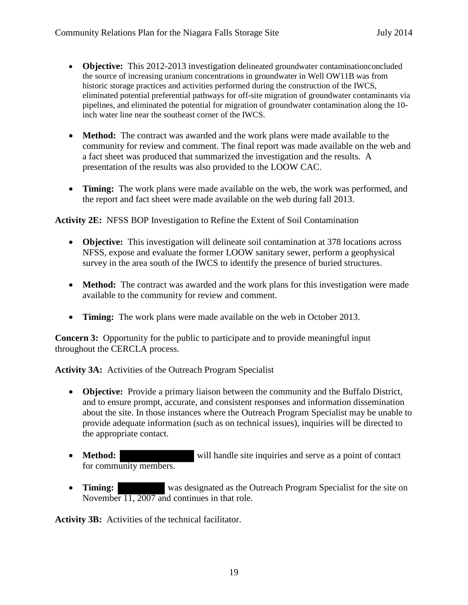- **Objective:** This 2012-2013 investigation delineated groundwater contaminationconcluded the source of increasing uranium concentrations in groundwater in Well OW11B was from historic storage practices and activities performed during the construction of the IWCS, eliminated potential preferential pathways for off-site migration of groundwater contaminants via pipelines, and eliminated the potential for migration of groundwater contamination along the 10 inch water line near the southeast corner of the IWCS.
- **Method:** The contract was awarded and the work plans were made available to the community for review and comment. The final report was made available on the web and a fact sheet was produced that summarized the investigation and the results. A presentation of the results was also provided to the LOOW CAC.
- **Timing:** The work plans were made available on the web, the work was performed, and the report and fact sheet were made available on the web during fall 2013.

**Activity 2E:** NFSS BOP Investigation to Refine the Extent of Soil Contamination

- **Objective:** This investigation will delineate soil contamination at 378 locations across NFSS, expose and evaluate the former LOOW sanitary sewer, perform a geophysical survey in the area south of the IWCS to identify the presence of buried structures.
- **Method:** The contract was awarded and the work plans for this investigation were made available to the community for review and comment.
- **Timing:** The work plans were made available on the web in October 2013.

**Concern 3:** Opportunity for the public to participate and to provide meaningful input throughout the CERCLA process.

**Activity 3A:** Activities of the Outreach Program Specialist

- **Objective:** Provide a primary liaison between the community and the Buffalo District, and to ensure prompt, accurate, and consistent responses and information dissemination about the site. In those instances where the Outreach Program Specialist may be unable to provide adequate information (such as on technical issues), inquiries will be directed to the appropriate contact.
- **Method:** will handle site inquiries and serve as a point of contact for community members.
- **Timing:** was designated as the Outreach Program Specialist for the site on November 11, 2007 and continues in that role.

**Activity 3B:** Activities of the technical facilitator.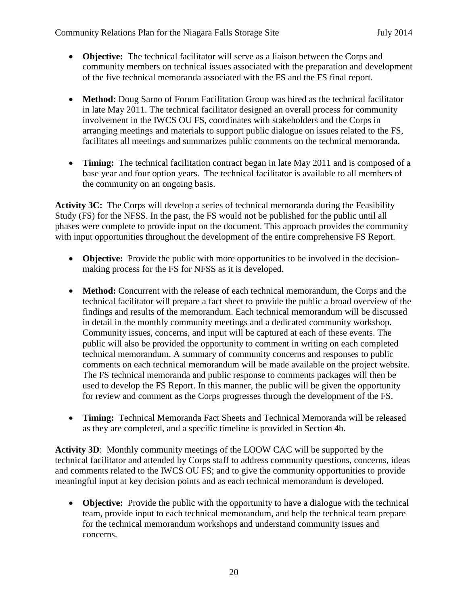- **Objective:** The technical facilitator will serve as a liaison between the Corps and community members on technical issues associated with the preparation and development of the five technical memoranda associated with the FS and the FS final report.
- **Method:** Doug Sarno of Forum Facilitation Group was hired as the technical facilitator in late May 2011. The technical facilitator designed an overall process for community involvement in the IWCS OU FS, coordinates with stakeholders and the Corps in arranging meetings and materials to support public dialogue on issues related to the FS, facilitates all meetings and summarizes public comments on the technical memoranda.
- **Timing:** The technical facilitation contract began in late May 2011 and is composed of a base year and four option years. The technical facilitator is available to all members of the community on an ongoing basis.

**Activity 3C:** The Corps will develop a series of technical memoranda during the Feasibility Study (FS) for the NFSS. In the past, the FS would not be published for the public until all phases were complete to provide input on the document. This approach provides the community with input opportunities throughout the development of the entire comprehensive FS Report.

- **Objective:** Provide the public with more opportunities to be involved in the decisionmaking process for the FS for NFSS as it is developed.
- **Method:** Concurrent with the release of each technical memorandum, the Corps and the technical facilitator will prepare a fact sheet to provide the public a broad overview of the findings and results of the memorandum. Each technical memorandum will be discussed in detail in the monthly community meetings and a dedicated community workshop. Community issues, concerns, and input will be captured at each of these events. The public will also be provided the opportunity to comment in writing on each completed technical memorandum. A summary of community concerns and responses to public comments on each technical memorandum will be made available on the project website. The FS technical memoranda and public response to comments packages will then be used to develop the FS Report. In this manner, the public will be given the opportunity for review and comment as the Corps progresses through the development of the FS.
- **Timing:** Technical Memoranda Fact Sheets and Technical Memoranda will be released as they are completed, and a specific timeline is provided in Section 4b.

**Activity 3D**: Monthly community meetings of the LOOW CAC will be supported by the technical facilitator and attended by Corps staff to address community questions, concerns, ideas and comments related to the IWCS OU FS; and to give the community opportunities to provide meaningful input at key decision points and as each technical memorandum is developed.

• **Objective:** Provide the public with the opportunity to have a dialogue with the technical team, provide input to each technical memorandum, and help the technical team prepare for the technical memorandum workshops and understand community issues and concerns.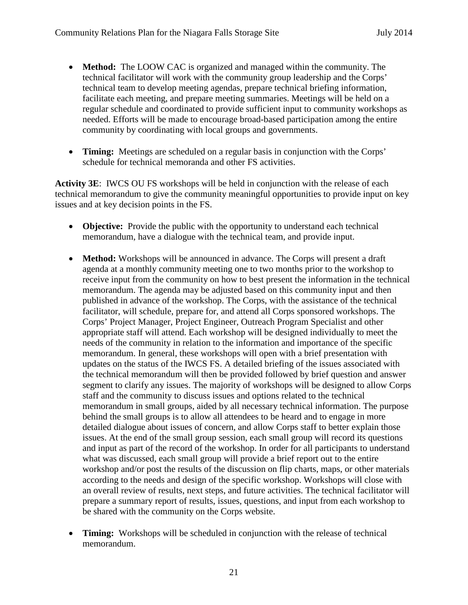- **Method:** The LOOW CAC is organized and managed within the community. The technical facilitator will work with the community group leadership and the Corps' technical team to develop meeting agendas, prepare technical briefing information, facilitate each meeting, and prepare meeting summaries. Meetings will be held on a regular schedule and coordinated to provide sufficient input to community workshops as needed. Efforts will be made to encourage broad-based participation among the entire community by coordinating with local groups and governments.
- **Timing:** Meetings are scheduled on a regular basis in conjunction with the Corps' schedule for technical memoranda and other FS activities.

**Activity 3E**: IWCS OU FS workshops will be held in conjunction with the release of each technical memorandum to give the community meaningful opportunities to provide input on key issues and at key decision points in the FS.

- **Objective:** Provide the public with the opportunity to understand each technical memorandum, have a dialogue with the technical team, and provide input.
- **Method:** Workshops will be announced in advance. The Corps will present a draft agenda at a monthly community meeting one to two months prior to the workshop to receive input from the community on how to best present the information in the technical memorandum. The agenda may be adjusted based on this community input and then published in advance of the workshop. The Corps, with the assistance of the technical facilitator, will schedule, prepare for, and attend all Corps sponsored workshops. The Corps' Project Manager, Project Engineer, Outreach Program Specialist and other appropriate staff will attend. Each workshop will be designed individually to meet the needs of the community in relation to the information and importance of the specific memorandum. In general, these workshops will open with a brief presentation with updates on the status of the IWCS FS. A detailed briefing of the issues associated with the technical memorandum will then be provided followed by brief question and answer segment to clarify any issues. The majority of workshops will be designed to allow Corps staff and the community to discuss issues and options related to the technical memorandum in small groups, aided by all necessary technical information. The purpose behind the small groups is to allow all attendees to be heard and to engage in more detailed dialogue about issues of concern, and allow Corps staff to better explain those issues. At the end of the small group session, each small group will record its questions and input as part of the record of the workshop. In order for all participants to understand what was discussed, each small group will provide a brief report out to the entire workshop and/or post the results of the discussion on flip charts, maps, or other materials according to the needs and design of the specific workshop. Workshops will close with an overall review of results, next steps, and future activities. The technical facilitator will prepare a summary report of results, issues, questions, and input from each workshop to be shared with the community on the Corps website.
- **Timing:** Workshops will be scheduled in conjunction with the release of technical memorandum.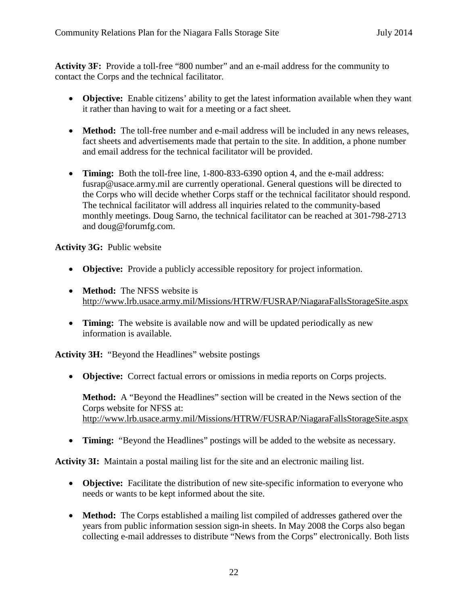**Activity 3F:** Provide a toll-free "800 number" and an e-mail address for the community to contact the Corps and the technical facilitator.

- **Objective:** Enable citizens' ability to get the latest information available when they want it rather than having to wait for a meeting or a fact sheet.
- **Method:** The toll-free number and e-mail address will be included in any news releases, fact sheets and advertisements made that pertain to the site. In addition, a phone number and email address for the technical facilitator will be provided.
- **Timing:** Both the toll-free line, 1-800-833-6390 option 4, and the e-mail address: fusrap@usace.army.mil are currently operational. General questions will be directed to the Corps who will decide whether Corps staff or the technical facilitator should respond. The technical facilitator will address all inquiries related to the community-based monthly meetings. Doug Sarno, the technical facilitator can be reached at 301-798-2713 and doug@forumfg.com.

#### **Activity 3G:** Public website

- **Objective:** Provide a publicly accessible repository for project information.
- **Method:** The NFSS website is http://www.lrb.usace.army.mil/Missions/HTRW/FUSRAP/NiagaraFallsStorageSite.aspx
- **Timing:** The website is available now and will be updated periodically as new information is available.

**Activity 3H:** "Beyond the Headlines" website postings

• **Objective:** Correct factual errors or omissions in media reports on Corps projects.

**Method:** A "Beyond the Headlines" section will be created in the News section of the Corps website for NFSS at: http://www.lrb.usace.army.mil/Missions/HTRW/FUSRAP/NiagaraFallsStorageSite.aspx

• **Timing:** "Beyond the Headlines" postings will be added to the website as necessary.

**Activity 3I:** Maintain a postal mailing list for the site and an electronic mailing list.

- **Objective:** Facilitate the distribution of new site-specific information to everyone who needs or wants to be kept informed about the site.
- **Method:** The Corps established a mailing list compiled of addresses gathered over the years from public information session sign-in sheets. In May 2008 the Corps also began collecting e-mail addresses to distribute "News from the Corps" electronically. Both lists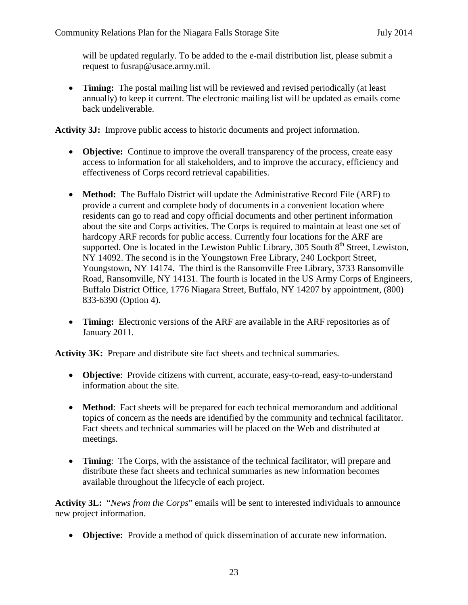will be updated regularly. To be added to the e-mail distribution list, please submit a request to fusrap@usace.army.mil.

• **Timing:** The postal mailing list will be reviewed and revised periodically (at least annually) to keep it current. The electronic mailing list will be updated as emails come back undeliverable.

**Activity 3J:** Improve public access to historic documents and project information.

- **Objective:** Continue to improve the overall transparency of the process, create easy access to information for all stakeholders, and to improve the accuracy, efficiency and effectiveness of Corps record retrieval capabilities.
- **Method:** The Buffalo District will update the Administrative Record File (ARF) to provide a current and complete body of documents in a convenient location where residents can go to read and copy official documents and other pertinent information about the site and Corps activities. The Corps is required to maintain at least one set of hardcopy ARF records for public access. Currently four locations for the ARF are supported. One is located in the Lewiston Public Library, 305 South  $8<sup>th</sup>$  Street, Lewiston, NY 14092. The second is in the Youngstown Free Library, 240 Lockport Street, Youngstown, NY 14174. The third is the Ransomville Free Library, 3733 Ransomville Road, Ransomville, NY 14131. The fourth is located in the US Army Corps of Engineers, Buffalo District Office, 1776 Niagara Street, Buffalo, NY 14207 by appointment, (800) 833-6390 (Option 4).
- **Timing:** Electronic versions of the ARF are available in the ARF repositories as of January 2011.

**Activity 3K:** Prepare and distribute site fact sheets and technical summaries.

- **Objective**: Provide citizens with current, accurate, easy-to-read, easy-to-understand information about the site.
- **Method**: Fact sheets will be prepared for each technical memorandum and additional topics of concern as the needs are identified by the community and technical facilitator. Fact sheets and technical summaries will be placed on the Web and distributed at meetings.
- **Timing**: The Corps, with the assistance of the technical facilitator, will prepare and distribute these fact sheets and technical summaries as new information becomes available throughout the lifecycle of each project.

**Activity 3L:** "*News from the Corps*" emails will be sent to interested individuals to announce new project information.

• **Objective:** Provide a method of quick dissemination of accurate new information.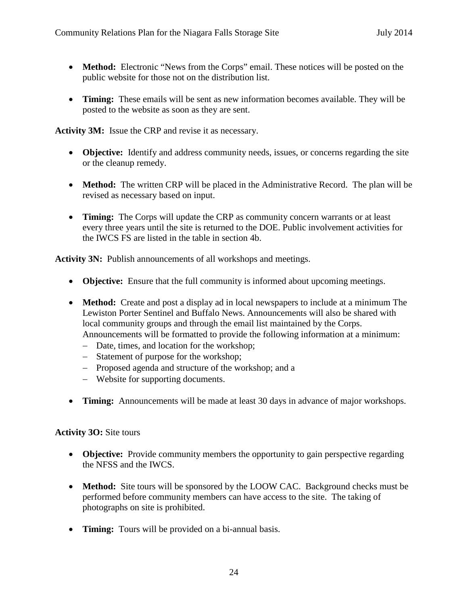- **Method:** Electronic "News from the Corps" email. These notices will be posted on the public website for those not on the distribution list.
- **Timing:** These emails will be sent as new information becomes available. They will be posted to the website as soon as they are sent.

**Activity 3M:** Issue the CRP and revise it as necessary.

- **Objective:** Identify and address community needs, issues, or concerns regarding the site or the cleanup remedy.
- **Method:** The written CRP will be placed in the Administrative Record. The plan will be revised as necessary based on input.
- **Timing:** The Corps will update the CRP as community concern warrants or at least every three years until the site is returned to the DOE. Public involvement activities for the IWCS FS are listed in the table in section 4b.

**Activity 3N:** Publish announcements of all workshops and meetings.

- **Objective:** Ensure that the full community is informed about upcoming meetings.
- **Method:** Create and post a display ad in local newspapers to include at a minimum The Lewiston Porter Sentinel and Buffalo News. Announcements will also be shared with local community groups and through the email list maintained by the Corps. Announcements will be formatted to provide the following information at a minimum:
	- − Date, times, and location for the workshop;
	- − Statement of purpose for the workshop;
	- − Proposed agenda and structure of the workshop; and a
	- − Website for supporting documents.
- **Timing:** Announcements will be made at least 30 days in advance of major workshops.

#### **Activity 3O:** Site tours

- **Objective:** Provide community members the opportunity to gain perspective regarding the NFSS and the IWCS.
- **Method:** Site tours will be sponsored by the LOOW CAC. Background checks must be performed before community members can have access to the site. The taking of photographs on site is prohibited.
- **Timing:** Tours will be provided on a bi-annual basis.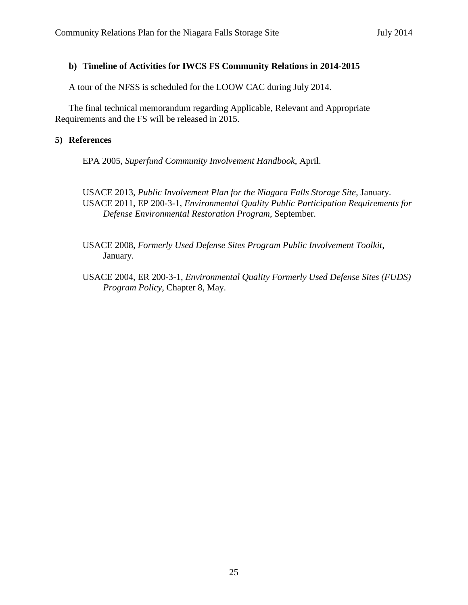#### **b) Timeline of Activities for IWCS FS Community Relations in 2014-2015**

A tour of the NFSS is scheduled for the LOOW CAC during July 2014.

The final technical memorandum regarding Applicable, Relevant and Appropriate Requirements and the FS will be released in 2015.

#### **5) References**

EPA 2005, *Superfund Community Involvement Handbook*, April.

USACE 2013, *Public Involvement Plan for the Niagara Falls Storage Site,* January. USACE 2011, EP 200-3-1, *Environmental Quality Public Participation Requirements for Defense Environmental Restoration Program*, September.

USACE 2008, *Formerly Used Defense Sites Program Public Involvement Toolkit*, January.

USACE 2004, ER 200-3-1, *Environmental Quality Formerly Used Defense Sites (FUDS) Program Policy*, Chapter 8, May.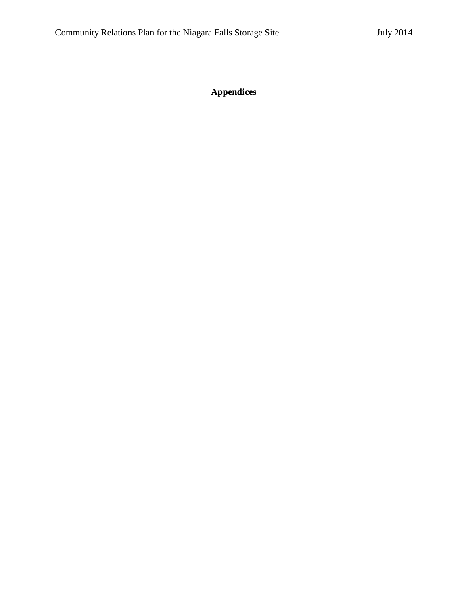**Appendices**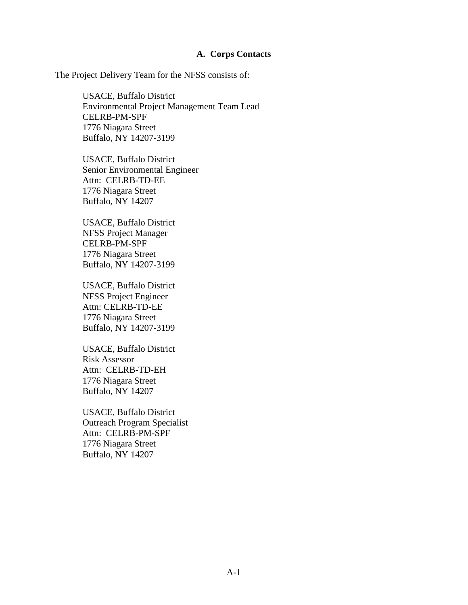#### **A. Corps Contacts**

The Project Delivery Team for the NFSS consists of:

USACE, Buffalo District Environmental Project Management Team Lead CELRB-PM-SPF 1776 Niagara Street Buffalo, NY 14207-3199

USACE, Buffalo District Senior Environmental Engineer Attn: CELRB-TD-EE 1776 Niagara Street Buffalo, NY 14207

USACE, Buffalo District NFSS Project Manager CELRB-PM-SPF 1776 Niagara Street Buffalo, NY 14207-3199

USACE, Buffalo District NFSS Project Engineer Attn: CELRB-TD-EE 1776 Niagara Street Buffalo, NY 14207-3199

USACE, Buffalo District Risk Assessor Attn: CELRB-TD-EH 1776 Niagara Street Buffalo, NY 14207

USACE, Buffalo District Outreach Program Specialist Attn: CELRB-PM-SPF 1776 Niagara Street Buffalo, NY 14207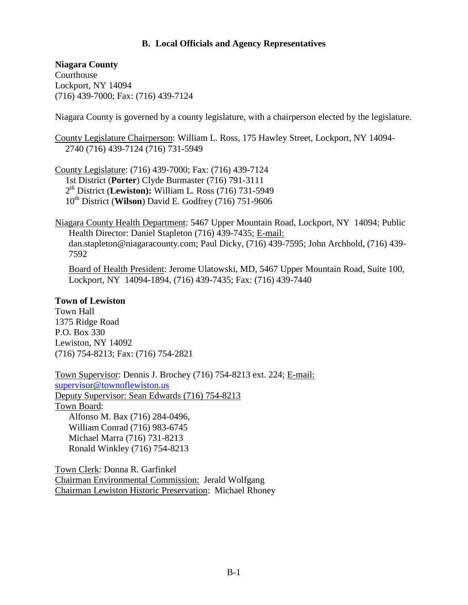#### **B. Local Officials and Agency Representatives**

**Niagara County** Courthouse Lockport, NY 14094 (716) 439-7000; Fax: (716) 439-7124

Niagara County is governed by a county legislature, with a chairperson elected by the legislature.

County Legislature Chairperson: William L. Ross, 175 Hawley Street, Lockport, NY 14094- 2740 (716) 439-7124 (716) 731-5949

County Legislature: (716) 439-7000; Fax: (716) 439-7124 1st District (**Porter**) Clyde Burmaster (716) 791-3111 2th District (**Lewiston):** William L. Ross (716) 731-5949 10th District (**Wilson**) David E. Godfrey (716) 751-9606

Niagara County Health Department: 5467 Upper Mountain Road, Lockport, NY 14094; Public Health Director: Daniel Stapleton (716) 439-7435; E-mail: dan.stapleton@niagaracounty.com; Paul Dicky, (716) 439-7595; John Archbold, (716) 439- 7592

Board of Health President: Jerome Ulatowski, MD, 5467 Upper Mountain Road, Suite 100, Lockport, NY 14094-1894, (716) 439-7435; Fax: (716) 439-7440

#### **Town of Lewiston**

Town Hall 1375 Ridge Road P.O. Box 330 Lewiston, NY 14092 (716) 754-8213; Fax: (716) 754-2821

Town Supervisor: Dennis J. Brochey (716) 754-8213 ext. 224; E-mail: [supervisor@townoflewiston.us](mailto:supervisor@townoflewiston.us) Deputy Supervisor: Sean Edwards (716) 754-8213 Town Board: Alfonso M. Bax (716) 284-0496, William Conrad (716) 983-6745 Michael Marra (716) 731-8213 Ronald Winkley (716) 754-8213

Town Clerk: Donna R. Garfinkel Chairman Environmental Commission: Jerald Wolfgang Chairman Lewiston Historic Preservation: Michael Rhoney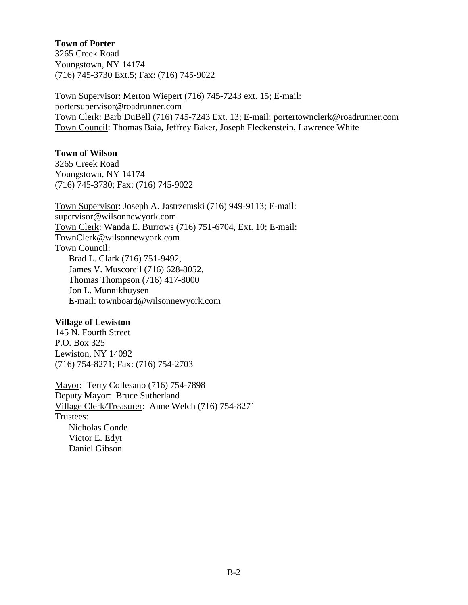#### **Town of Porter**

3265 Creek Road Youngstown, NY 14174 (716) 745-3730 Ext.5; Fax: (716) 745-9022

Town Supervisor: Merton Wiepert (716) 745-7243 ext. 15; E-mail: portersupervisor@roadrunner.com Town Clerk: Barb DuBell (716) 745-7243 Ext. 13; E-mail: [portertownclerk@roadrunner.com](mailto:portertownclerk@roadrunner.com) Town Council: Thomas Baia, Jeffrey Baker, Joseph Fleckenstein, Lawrence White

#### **Town of Wilson**

3265 Creek Road Youngstown, NY 14174 (716) 745-3730; Fax: (716) 745-9022

Town Supervisor: Joseph A. Jastrzemski (716) 949-9113; E-mail: supervisor@wilsonnewyork.com Town Clerk: Wanda E. Burrows (716) 751-6704, Ext. 10; E-mail: TownClerk@wilsonnewyork.com Town Council: Brad L. Clark (716) 751-9492, James V. Muscoreil (716) 628-8052, Thomas Thompson (716) 417-8000 Jon L. Munnikhuysen E-mail: townboard@wilsonnewyork.com

#### **Village of Lewiston**

145 N. Fourth Street P.O. Box 325 Lewiston, NY 14092 (716) 754-8271; Fax: (716) 754-2703

Mayor: Terry Collesano (716) 754-7898 Deputy Mayor: Bruce Sutherland Village Clerk/Treasurer: Anne Welch (716) 754-8271 Trustees: Nicholas Conde Victor E. Edyt Daniel Gibson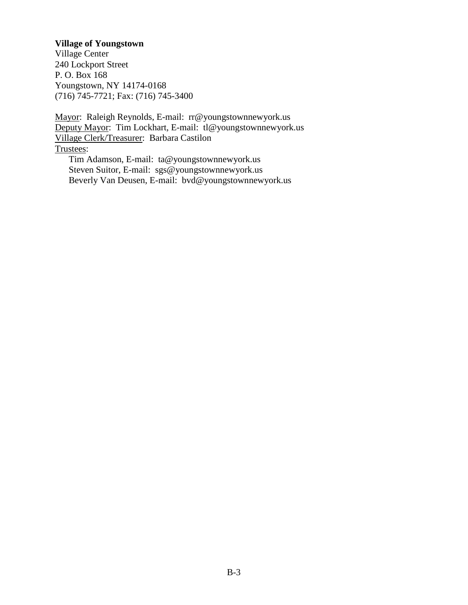#### **Village of Youngstown**

Village Center 240 Lockport Street P. O. Box 168 Youngstown, NY 14174-0168 (716) 745-7721; Fax: (716) 745-3400

Mayor: Raleigh Reynolds, E-mail: rr@youngstownnewyork.us Deputy Mayor: Tim Lockhart, E-mail: tl@youngstownnewyork.us Village Clerk/Treasurer: Barbara Castilon Trustees:

Tim Adamson, E-mail: ta@youngstownnewyork.us Steven Suitor, E-mail: sgs@youngstownnewyork.us Beverly Van Deusen, E-mail: bvd@youngstownnewyork.us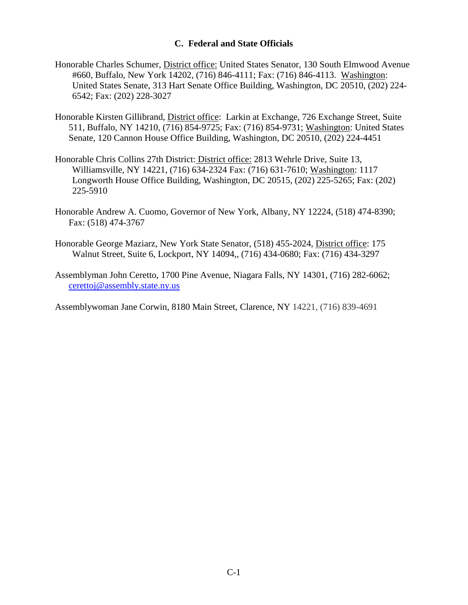#### **C. Federal and State Officials**

- Honorable Charles Schumer, District office: United States Senator, 130 South Elmwood Avenue #660, Buffalo, New York 14202, (716) 846-4111; Fax: (716) 846-4113. Washington: United States Senate, 313 Hart Senate Office Building, Washington, DC 20510, (202) 224- 6542; Fax: (202) 228-3027
- Honorable Kirsten Gillibrand, District office: Larkin at Exchange, 726 Exchange Street, Suite 511, Buffalo, NY 14210, (716) 854-9725; Fax: (716) 854-9731; Washington: United States Senate, 120 Cannon House Office Building, Washington, DC 20510, (202) 224-4451
- Honorable Chris Collins 27th District: District office: 2813 Wehrle Drive, Suite 13, Williamsville, NY 14221, (716) 634-2324 Fax: (716) 631-7610; Washington: 1117 Longworth House Office Building, Washington, DC 20515, (202) 225-5265; Fax: (202) 225-5910
- Honorable Andrew A. Cuomo, Governor of New York, Albany, NY 12224, (518) 474-8390; Fax: (518) 474-3767
- Honorable George Maziarz, New York State Senator, (518) 455-2024, District office: 175 Walnut Street, Suite 6, Lockport, NY 14094,, (716) 434-0680; Fax: (716) 434-3297
- Assemblyman John Ceretto, 1700 Pine Avenue, Niagara Falls, NY 14301, (716) 282-6062; [cerettoj@assembly.state.ny.us](mailto:cerettoj@assembly.state.ny.us)

Assemblywoman Jane Corwin, 8180 Main Street, Clarence, NY 14221, (716) 839-4691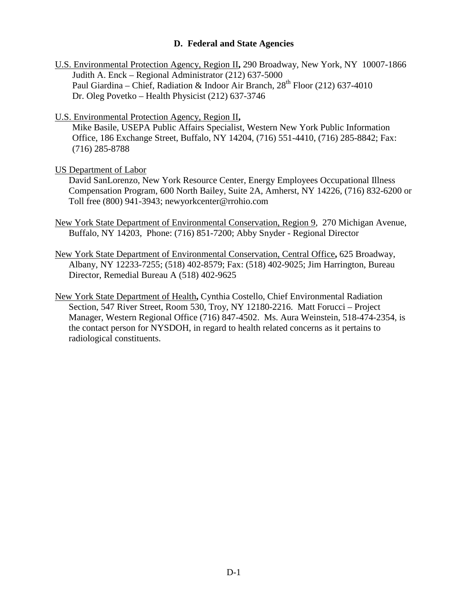#### **D. Federal and State Agencies**

- U.S. Environmental Protection Agency, Region II**,** 290 Broadway, New York, NY 10007-1866 Judith A. Enck – Regional Administrator (212) 637-5000 Paul Giardina – Chief, Radiation & Indoor Air Branch, 28<sup>th</sup> Floor (212) 637-4010 Dr. Oleg Povetko – Health Physicist (212) 637-3746
- U.S. Environmental Protection Agency, Region II**,**

Mike Basile, USEPA Public Affairs Specialist, Western New York Public Information Office, 186 Exchange Street, Buffalo, NY 14204, (716) 551-4410, (716) 285-8842; Fax: (716) 285-8788

#### US Department of Labor

David SanLorenzo, New York Resource Center, Energy Employees Occupational Illness Compensation Program, 600 North Bailey, Suite 2A, Amherst, NY 14226, (716) 832-6200 or Toll free (800) 941-3943; newyorkcenter@rrohio.com

- New York State Department of Environmental Conservation, Region 9, 270 Michigan Avenue, Buffalo, NY 14203, Phone: (716) 851-7200; Abby Snyder - Regional Director
- New York State Department of Environmental Conservation, Central Office**,** 625 Broadway, Albany, NY 12233-7255; (518) 402-8579; Fax: (518) 402-9025; Jim Harrington, Bureau Director, Remedial Bureau A (518) 402-9625
- New York State Department of Health**,** Cynthia Costello, Chief Environmental Radiation Section, 547 River Street, Room 530, Troy, NY 12180-2216. Matt Forucci – Project Manager, Western Regional Office (716) 847-4502. Ms. Aura Weinstein, 518-474-2354, is the contact person for NYSDOH, in regard to health related concerns as it pertains to radiological constituents.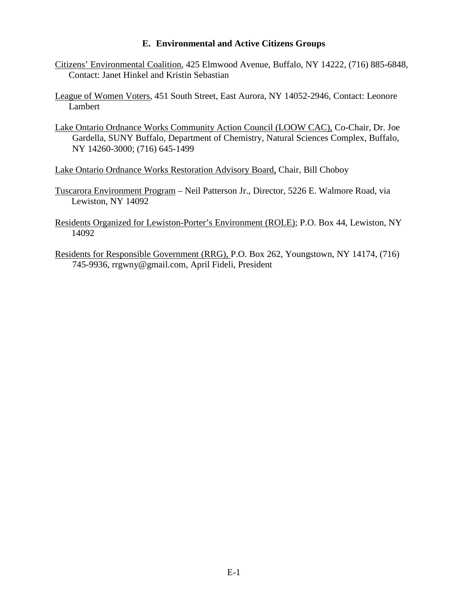#### **E. Environmental and Active Citizens Groups**

- Citizens' Environmental Coalition, 425 Elmwood Avenue, Buffalo, NY 14222, (716) 885-6848, Contact: Janet Hinkel and Kristin Sebastian
- League of Women Voters, 451 South Street, East Aurora, NY 14052-2946, Contact: Leonore Lambert
- Lake Ontario Ordnance Works Community Action Council (LOOW CAC), Co-Chair, Dr. Joe Gardella, SUNY Buffalo, Department of Chemistry, Natural Sciences Complex, Buffalo, NY 14260-3000; (716) 645-1499
- Lake Ontario Ordnance Works Restoration Advisory Board, Chair, Bill Choboy
- Tuscarora Environment Program Neil Patterson Jr., Director, 5226 E. Walmore Road, via Lewiston, NY 14092
- Residents Organized for Lewiston-Porter's Environment (ROLE); P.O. Box 44, Lewiston, NY 14092
- Residents for Responsible Government (RRG), P.O. Box 262, Youngstown, NY 14174, (716) 745-9936, rrgwny@gmail.com, April Fideli, President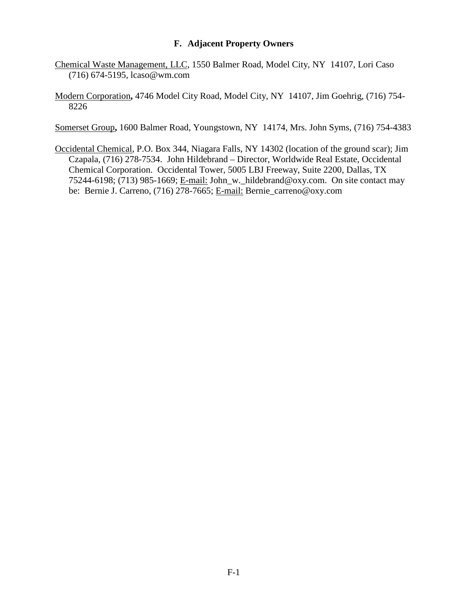#### **F. Adjacent Property Owners**

- Chemical Waste Management, LLC, 1550 Balmer Road, Model City, NY 14107, Lori Caso (716) 674-5195, lcaso@wm.com
- Modern Corporation**,** 4746 Model City Road, Model City, NY 14107, Jim Goehrig, (716) 754- 8226

Somerset Group**,** 1600 Balmer Road, Youngstown, NY 14174, Mrs. John Syms, (716) 754-4383

Occidental Chemical, P.O. Box 344, Niagara Falls, NY 14302 (location of the ground scar); Jim Czapala, (716) 278-7534. John Hildebrand – Director, Worldwide Real Estate, Occidental Chemical Corporation. Occidental Tower, 5005 LBJ Freeway, Suite 2200, Dallas, TX 75244-6198; (713) 985-1669; E-mail: John\_w.\_hildebrand@oxy.com. On site contact may be: Bernie J. Carreno, (716) 278-7665; E-mail: Bernie\_carreno@oxy.com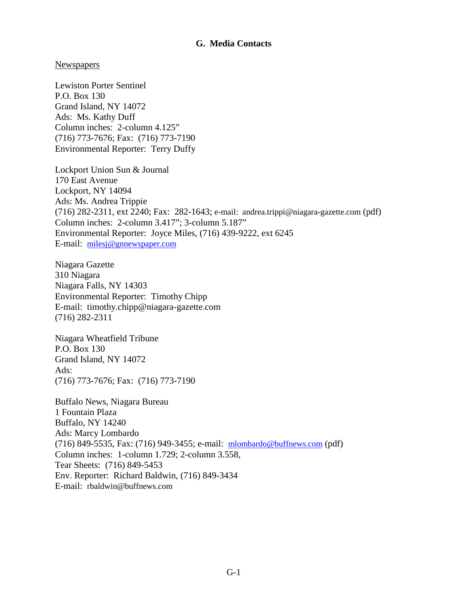#### **G. Media Contacts**

#### **Newspapers**

Lewiston Porter Sentinel P.O. Box 130 Grand Island, NY 14072 Ads: Ms. Kathy Duff Column inches: 2-column 4.125" (716) 773-7676; Fax: (716) 773-7190 Environmental Reporter: Terry Duffy

Lockport Union Sun & Journal 170 East Avenue Lockport, NY 14094 Ads: Ms. Andrea Trippie (716) 282-2311, ext 2240; Fax: 282-1643; e-mail: andrea.trippi@niagara-gazette.com (pdf) Column inches: 2-column 3.417"; 3-column 5.187" Environmental Reporter: Joyce Miles, (716) 439-9222, ext 6245 E-mail: [milesj@gnnewspaper.com](mailto:milesj@gnnewspaper.com)

Niagara Gazette 310 Niagara Niagara Falls, NY 14303 Environmental Reporter: Timothy Chipp E-mail: timothy.chipp@niagara-gazette.com (716) 282-2311

Niagara Wheatfield Tribune P.O. Box 130 Grand Island, NY 14072 Ads: (716) 773-7676; Fax: (716) 773-7190

Buffalo News, Niagara Bureau 1 Fountain Plaza Buffalo, NY 14240 Ads: Marcy Lombardo (716) 849-5535, Fax: (716) 949-3455; e-mail: [mlombardo@buffnews.com](mailto:mlombardo@buffnews.com) (pdf) Column inches: 1-column 1.729; 2-column 3.558, Tear Sheets: (716) 849-5453 Env. Reporter: Richard Baldwin, (716) 849-3434 E-mail: rbaldwin@buffnews.com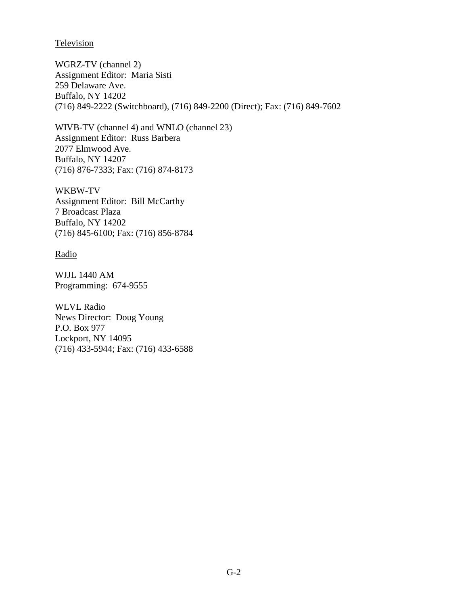**Television** 

WGRZ-TV (channel 2) Assignment Editor: Maria Sisti 259 Delaware Ave. Buffalo, NY 14202 (716) 849-2222 (Switchboard), (716) 849-2200 (Direct); Fax: (716) 849-7602

WIVB-TV (channel 4) and WNLO (channel 23) Assignment Editor: Russ Barbera 2077 Elmwood Ave. Buffalo, NY 14207 (716) 876-7333; Fax: (716) 874-8173

WKBW-TV Assignment Editor: Bill McCarthy 7 Broadcast Plaza Buffalo, NY 14202 (716) 845-6100; Fax: (716) 856-8784

Radio

WJJL 1440 AM Programming: 674-9555

WLVL Radio News Director: Doug Young P.O. Box 977 Lockport, NY 14095 (716) 433-5944; Fax: (716) 433-6588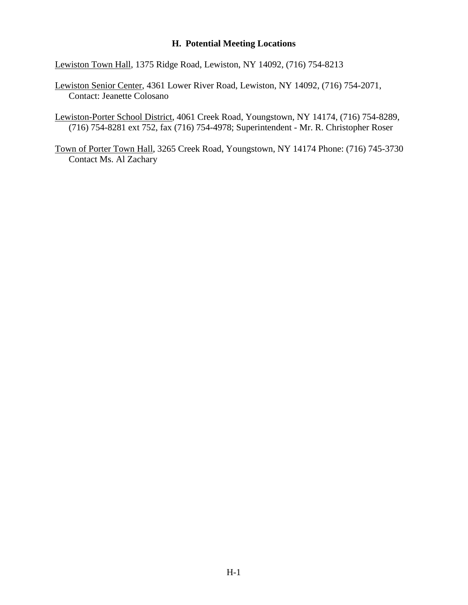#### **H. Potential Meeting Locations**

Lewiston Town Hall, 1375 Ridge Road, Lewiston, NY 14092, (716) 754-8213

- Lewiston Senior Center, 4361 Lower River Road, Lewiston, NY 14092, (716) 754-2071, Contact: Jeanette Colosano
- Lewiston-Porter School District, 4061 Creek Road, Youngstown, NY 14174, (716) 754-8289, (716) 754-8281 ext 752, fax (716) 754-4978; Superintendent - Mr. R. Christopher Roser
- Town of Porter Town Hall, 3265 Creek Road, Youngstown, NY 14174 Phone: (716) 745-3730 Contact Ms. Al Zachary